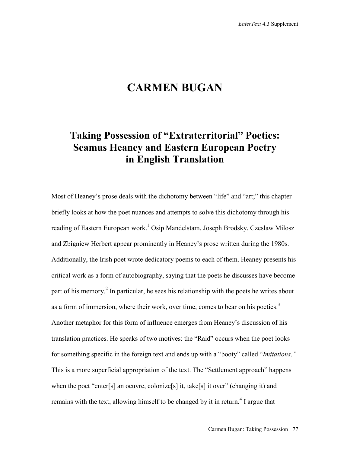# **CARMEN BUGAN**

## **Taking Possession of "Extraterritorial" Poetics: Seamus Heaney and Eastern European Poetry in English Translation**

Most of Heaney's prose deals with the dichotomy between "life" and "art;" this chapter briefly looks at how the poet nuances and attempts to solve this dichotomy through his reading of Eastern European work.<sup>1</sup> Osip Mandelstam, Joseph Brodsky, Czeslaw Milosz and Zbigniew Herbert appear prominently in Heaney's prose written during the 1980s. Additionally, the Irish poet wrote dedicatory poems to each of them. Heaney presents his critical work as a form of autobiography, saying that the poets he discusses have become part of his memory.<sup>2</sup> In particular, he sees his relationship with the poets he writes about as a form of immersion, where their work, over time, comes to bear on his poetics. $3$ Another metaphor for this form of influence emerges from Heaney's discussion of his translation practices. He speaks of two motives: the "Raid" occurs when the poet looks for something specific in the foreign text and ends up with a "booty" called "*Imitations*.*"* This is a more superficial appropriation of the text. The "Settlement approach" happens when the poet "enter[s] an oeuvre, colonize[s] it, take[s] it over" (changing it) and remains with the text, allowing himself to be changed by it in return.<sup>4</sup> I argue that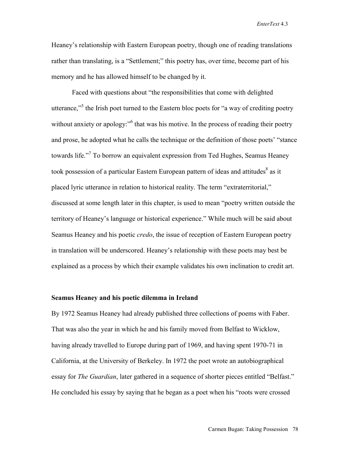Heaney's relationship with Eastern European poetry, though one of reading translations rather than translating, is a "Settlement;" this poetry has, over time, become part of his memory and he has allowed himself to be changed by it.

Faced with questions about "the responsibilities that come with delighted utterance,"<sup>5</sup> the Irish poet turned to the Eastern bloc poets for "a way of crediting poetry without anxiety or apology:"<sup>6</sup> that was his motive. In the process of reading their poetry and prose, he adopted what he calls the technique or the definition of those poets' "stance towards life."<sup>7</sup> To borrow an equivalent expression from Ted Hughes, Seamus Heaney took possession of a particular Eastern European pattern of ideas and attitudes<sup>8</sup> as it placed lyric utterance in relation to historical reality. The term "extraterritorial," discussed at some length later in this chapter, is used to mean "poetry written outside the territory of Heaney's language or historical experience." While much will be said about Seamus Heaney and his poetic *credo*, the issue of reception of Eastern European poetry in translation will be underscored. Heaney's relationship with these poets may best be explained as a process by which their example validates his own inclination to credit art.

## **Seamus Heaney and his poetic dilemma in Ireland**

By 1972 Seamus Heaney had already published three collections of poems with Faber. That was also the year in which he and his family moved from Belfast to Wicklow, having already travelled to Europe during part of 1969, and having spent 1970-71 in California, at the University of Berkeley. In 1972 the poet wrote an autobiographical essay for *The Guardian*, later gathered in a sequence of shorter pieces entitled "Belfast." He concluded his essay by saying that he began as a poet when his "roots were crossed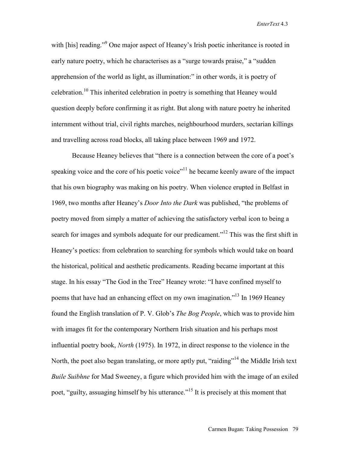with [his] reading."<sup>9</sup> One major aspect of Heaney's Irish poetic inheritance is rooted in early nature poetry, which he characterises as a "surge towards praise," a "sudden apprehension of the world as light, as illumination:" in other words, it is poetry of celebration.10 This inherited celebration in poetry is something that Heaney would question deeply before confirming it as right. But along with nature poetry he inherited internment without trial, civil rights marches, neighbourhood murders, sectarian killings and travelling across road blocks, all taking place between 1969 and 1972.

Because Heaney believes that "there is a connection between the core of a poet's speaking voice and the core of his poetic voice"<sup>11</sup> he became keenly aware of the impact that his own biography was making on his poetry. When violence erupted in Belfast in 1969, two months after Heaney's *Door Into the Dark* was published, "the problems of poetry moved from simply a matter of achieving the satisfactory verbal icon to being a search for images and symbols adequate for our predicament."<sup>12</sup> This was the first shift in Heaney's poetics: from celebration to searching for symbols which would take on board the historical, political and aesthetic predicaments. Reading became important at this stage. In his essay "The God in the Tree" Heaney wrote: "I have confined myself to poems that have had an enhancing effect on my own imagination."<sup>13</sup> In 1969 Heaney found the English translation of P. V. Glob's *The Bog People*, which was to provide him with images fit for the contemporary Northern Irish situation and his perhaps most influential poetry book, *North* (1975). In 1972, in direct response to the violence in the North, the poet also began translating, or more aptly put, "raiding"<sup>14</sup> the Middle Irish text *Buile Suibhne* for Mad Sweeney, a figure which provided him with the image of an exiled poet, "guilty, assuaging himself by his utterance."<sup>15</sup> It is precisely at this moment that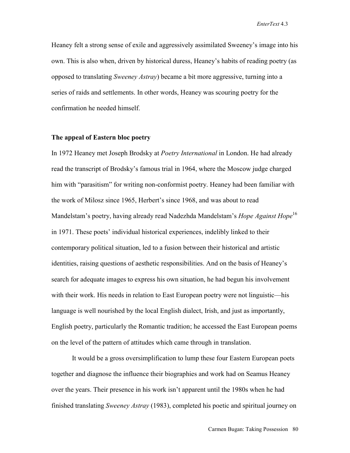Heaney felt a strong sense of exile and aggressively assimilated Sweeney's image into his own. This is also when, driven by historical duress, Heaney's habits of reading poetry (as opposed to translating *Sweeney Astray*) became a bit more aggressive, turning into a series of raids and settlements. In other words, Heaney was scouring poetry for the confirmation he needed himself.

#### **The appeal of Eastern bloc poetry**

In 1972 Heaney met Joseph Brodsky at *Poetry International* in London. He had already read the transcript of Brodsky's famous trial in 1964, where the Moscow judge charged him with "parasitism" for writing non-conformist poetry. Heaney had been familiar with the work of Milosz since 1965, Herbert's since 1968, and was about to read Mandelstam's poetry, having already read Nadezhda Mandelstam's *Hope Against Hope*<sup>16</sup> in 1971. These poets' individual historical experiences, indelibly linked to their contemporary political situation, led to a fusion between their historical and artistic identities, raising questions of aesthetic responsibilities. And on the basis of Heaney's search for adequate images to express his own situation, he had begun his involvement with their work. His needs in relation to East European poetry were not linguistic—his language is well nourished by the local English dialect, Irish, and just as importantly, English poetry, particularly the Romantic tradition; he accessed the East European poems on the level of the pattern of attitudes which came through in translation.

It would be a gross oversimplification to lump these four Eastern European poets together and diagnose the influence their biographies and work had on Seamus Heaney over the years. Their presence in his work isn't apparent until the 1980s when he had finished translating *Sweeney Astray* (1983), completed his poetic and spiritual journey on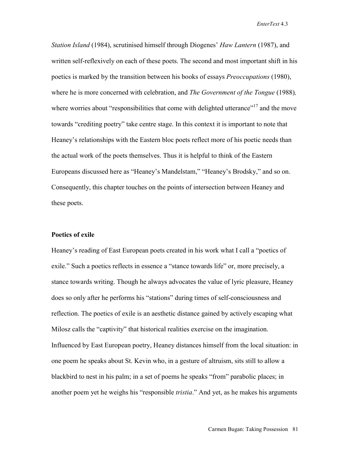*Station Island* (1984), scrutinised himself through Diogenes' *Haw Lantern* (1987), and written self-reflexively on each of these poets. The second and most important shift in his poetics is marked by the transition between his books of essays *Preoccupations* (1980), where he is more concerned with celebration, and *The Government of the Tongue* (1988)*,* where worries about "responsibilities that come with delighted utterance"<sup>17</sup> and the move towards "crediting poetry" take centre stage. In this context it is important to note that Heaney's relationships with the Eastern bloc poets reflect more of his poetic needs than the actual work of the poets themselves. Thus it is helpful to think of the Eastern Europeans discussed here as "Heaney's Mandelstam," "Heaney's Brodsky," and so on. Consequently, this chapter touches on the points of intersection between Heaney and these poets.

## **Poetics of exile**

Heaney's reading of East European poets created in his work what I call a "poetics of exile." Such a poetics reflects in essence a "stance towards life" or, more precisely, a stance towards writing. Though he always advocates the value of lyric pleasure, Heaney does so only after he performs his "stations" during times of self-consciousness and reflection. The poetics of exile is an aesthetic distance gained by actively escaping what Milosz calls the "captivity" that historical realities exercise on the imagination. Influenced by East European poetry, Heaney distances himself from the local situation: in one poem he speaks about St. Kevin who, in a gesture of altruism, sits still to allow a blackbird to nest in his palm; in a set of poems he speaks "from" parabolic places; in another poem yet he weighs his "responsible *tristia*." And yet, as he makes his arguments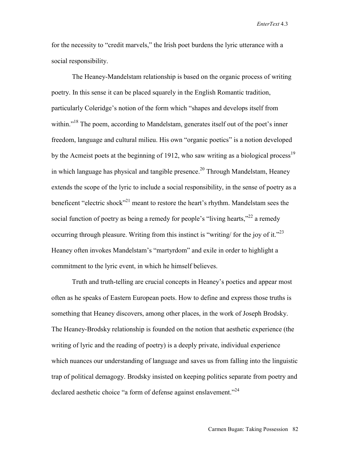for the necessity to "credit marvels," the Irish poet burdens the lyric utterance with a social responsibility.

The Heaney-Mandelstam relationship is based on the organic process of writing poetry. In this sense it can be placed squarely in the English Romantic tradition, particularly Coleridge's notion of the form which "shapes and develops itself from within."<sup>18</sup> The poem, according to Mandelstam, generates itself out of the poet's inner freedom, language and cultural milieu. His own "organic poetics" is a notion developed by the Acmeist poets at the beginning of 1912, who saw writing as a biological process<sup>19</sup> in which language has physical and tangible presence.<sup>20</sup> Through Mandelstam, Heaney extends the scope of the lyric to include a social responsibility, in the sense of poetry as a beneficent "electric shock"<sup>21</sup> meant to restore the heart's rhythm. Mandelstam sees the social function of poetry as being a remedy for people's "living hearts,"<sup>22</sup> a remedy occurring through pleasure. Writing from this instinct is "writing/ for the joy of it."<sup>23</sup> Heaney often invokes Mandelstam's "martyrdom" and exile in order to highlight a commitment to the lyric event, in which he himself believes.

Truth and truth-telling are crucial concepts in Heaney's poetics and appear most often as he speaks of Eastern European poets. How to define and express those truths is something that Heaney discovers, among other places, in the work of Joseph Brodsky. The Heaney-Brodsky relationship is founded on the notion that aesthetic experience (the writing of lyric and the reading of poetry) is a deeply private, individual experience which nuances our understanding of language and saves us from falling into the linguistic trap of political demagogy. Brodsky insisted on keeping politics separate from poetry and declared aesthetic choice "a form of defense against enslavement."<sup>24</sup>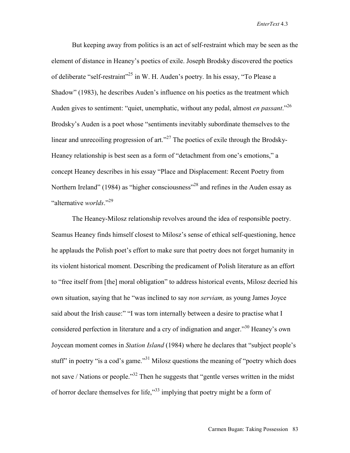But keeping away from politics is an act of self-restraint which may be seen as the element of distance in Heaney's poetics of exile. Joseph Brodsky discovered the poetics of deliberate "self-restraint"25 in W. H. Auden's poetry. In his essay, "To Please a Shadow" (1983), he describes Auden's influence on his poetics as the treatment which Auden gives to sentiment: "quiet, unemphatic, without any pedal, almost *en passant*."26 Brodsky's Auden is a poet whose "sentiments inevitably subordinate themselves to the linear and unrecoiling progression of art."<sup>27</sup> The poetics of exile through the Brodsky-Heaney relationship is best seen as a form of "detachment from one's emotions," a concept Heaney describes in his essay "Place and Displacement: Recent Poetry from Northern Ireland" (1984) as "higher consciousness"<sup>28</sup> and refines in the Auden essay as "alternative *worlds*."<sup>29</sup>

The Heaney-Milosz relationship revolves around the idea of responsible poetry. Seamus Heaney finds himself closest to Milosz's sense of ethical self-questioning, hence he applauds the Polish poet's effort to make sure that poetry does not forget humanity in its violent historical moment. Describing the predicament of Polish literature as an effort to "free itself from [the] moral obligation" to address historical events, Milosz decried his own situation, saying that he "was inclined to say *non serviam,* as young James Joyce said about the Irish cause:" "I was torn internally between a desire to practise what I considered perfection in literature and a cry of indignation and anger."30 Heaney's own Joycean moment comes in *Station Island* (1984) where he declares that "subject people's stuff" in poetry "is a cod's game."<sup>31</sup> Milosz questions the meaning of "poetry which does not save / Nations or people.<sup>33</sup> Then he suggests that "gentle verses written in the midst" of horror declare themselves for life,"33 implying that poetry might be a form of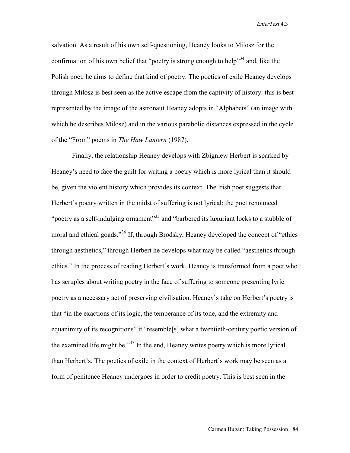salvation. As a result of his own self-questioning, Heaney looks to Milosz for the confirmation of his own belief that "poetry is strong enough to help"<sup>34</sup> and, like the Polish poet, he aims to define that kind of poetry. The poetics of exile Heaney develops through Milosz is best seen as the active escape from the captivity of history: this is best represented by the image of the astronaut Heaney adopts in "Alphabets" (an image with which he describes Milosz) and in the various parabolic distances expressed in the cycle of the "From" poems in *The Haw Lantern* (1987).

 Finally, the relationship Heaney develops with Zbigniew Herbert is sparked by Heaney's need to face the guilt for writing a poetry which is more lyrical than it should be, given the violent history which provides its context. The Irish poet suggests that Herbert's poetry written in the midst of suffering is not lyrical: the poet renounced "poetry as a self-indulging ornament"<sup>35</sup> and "barbered its luxuriant locks to a stubble of moral and ethical goads."<sup>36</sup> If, through Brodsky, Heaney developed the concept of "ethics" through aesthetics," through Herbert he develops what may be called "aesthetics through ethics." In the process of reading Herbert's work, Heaney is transformed from a poet who has scruples about writing poetry in the face of suffering to someone presenting lyric poetry as a necessary act of preserving civilisation. Heaney's take on Herbert's poetry is that "in the exactions of its logic, the temperance of its tone, and the extremity and equanimity of its recognitions" it "resemble[s] what a twentieth-century poetic version of the examined life might be."37 In the end, Heaney writes poetry which is more lyrical than Herbert's. The poetics of exile in the context of Herbert's work may be seen as a form of penitence Heaney undergoes in order to credit poetry. This is best seen in the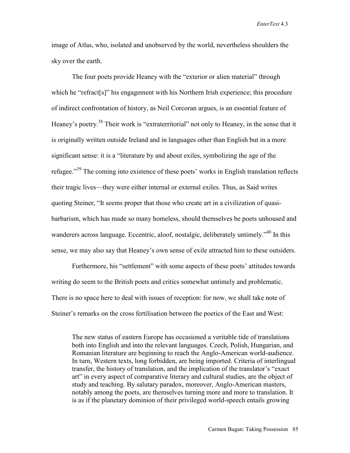image of Atlas, who, isolated and unobserved by the world, nevertheless shoulders the sky over the earth.

The four poets provide Heaney with the "exterior or alien material" through which he "refract[s]" his engagement with his Northern Irish experience; this procedure of indirect confrontation of history, as Neil Corcoran argues, is an essential feature of Heaney's poetry.<sup>38</sup> Their work is "extraterritorial" not only to Heaney, in the sense that it is originally written outside Ireland and in languages other than English but in a more significant sense: it is a "literature by and about exiles, symbolizing the age of the refugee."<sup>39</sup> The coming into existence of these poets' works in English translation reflects their tragic lives—they were either internal or external exiles. Thus, as Said writes quoting Steiner, "It seems proper that those who create art in a civilization of quasibarbarism, which has made so many homeless, should themselves be poets unhoused and wanderers across language. Eccentric, aloof, nostalgic, deliberately untimely.<sup>340</sup> In this sense, we may also say that Heaney's own sense of exile attracted him to these outsiders.

Furthermore, his "settlement" with some aspects of these poets' attitudes towards writing do seem to the British poets and critics somewhat untimely and problematic. There is no space here to deal with issues of reception: for now, we shall take note of Steiner's remarks on the cross fertilisation between the poetics of the East and West:

The new status of eastern Europe has occasioned a veritable tide of translations both into English and into the relevant languages. Czech, Polish, Hungarian, and Romanian literature are beginning to reach the Anglo-American world-audience. In turn, Western texts, long forbidden, are being imported. Criteria of interlingual transfer, the history of translation, and the implication of the translator's "exact art" in every aspect of comparative literary and cultural studies, are the object of study and teaching. By salutary paradox, moreover, Anglo-American masters, notably among the poets, are themselves turning more and more to translation. It is as if the planetary dominion of their privileged world-speech entails growing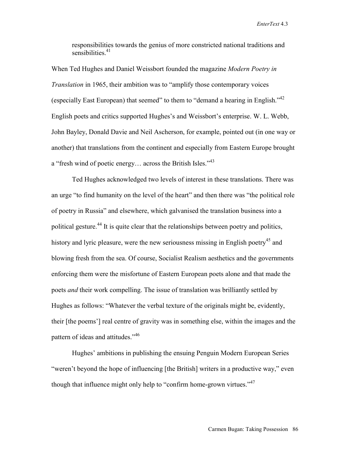responsibilities towards the genius of more constricted national traditions and sensibilities $41$ 

When Ted Hughes and Daniel Weissbort founded the magazine *Modern Poetry in Translation* in 1965, their ambition was to "amplify those contemporary voices (especially East European) that seemed" to them to "demand a hearing in English." $42$ English poets and critics supported Hughes's and Weissbort's enterprise. W. L. Webb, John Bayley, Donald Davie and Neil Ascherson, for example, pointed out (in one way or another) that translations from the continent and especially from Eastern Europe brought a "fresh wind of poetic energy... across the British Isles."<sup>43</sup>

Ted Hughes acknowledged two levels of interest in these translations. There was an urge "to find humanity on the level of the heart" and then there was "the political role of poetry in Russia" and elsewhere, which galvanised the translation business into a political gesture.<sup>44</sup> It is quite clear that the relationships between poetry and politics, history and lyric pleasure, were the new seriousness missing in English poetry<sup>45</sup> and blowing fresh from the sea. Of course, Socialist Realism aesthetics and the governments enforcing them were the misfortune of Eastern European poets alone and that made the poets *and* their work compelling. The issue of translation was brilliantly settled by Hughes as follows: "Whatever the verbal texture of the originals might be, evidently, their [the poems'] real centre of gravity was in something else, within the images and the pattern of ideas and attitudes."<sup>46</sup>

Hughes' ambitions in publishing the ensuing Penguin Modern European Series "weren't beyond the hope of influencing [the British] writers in a productive way," even though that influence might only help to "confirm home-grown virtues."<sup>47</sup>

Carmen Bugan: Taking Possession 86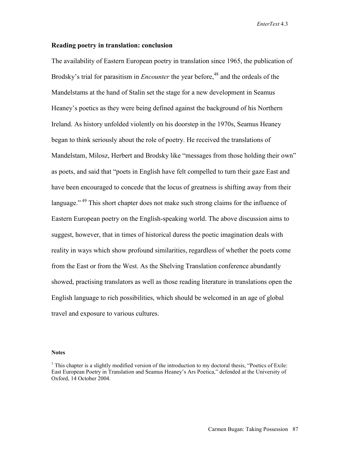## **Reading poetry in translation: conclusion**

The availability of Eastern European poetry in translation since 1965, the publication of Brodsky's trial for parasitism in *Encounter* the year before,<sup>48</sup> and the ordeals of the Mandelstams at the hand of Stalin set the stage for a new development in Seamus Heaney's poetics as they were being defined against the background of his Northern Ireland. As history unfolded violently on his doorstep in the 1970s, Seamus Heaney began to think seriously about the role of poetry. He received the translations of Mandelstam, Milosz, Herbert and Brodsky like "messages from those holding their own" as poets, and said that "poets in English have felt compelled to turn their gaze East and have been encouraged to concede that the locus of greatness is shifting away from their language."<sup>49</sup> This short chapter does not make such strong claims for the influence of Eastern European poetry on the English-speaking world. The above discussion aims to suggest, however, that in times of historical duress the poetic imagination deals with reality in ways which show profound similarities, regardless of whether the poets come from the East or from the West. As the Shelving Translation conference abundantly showed, practising translators as well as those reading literature in translations open the English language to rich possibilities, which should be welcomed in an age of global travel and exposure to various cultures.

#### **Notes**

<sup>&</sup>lt;sup>1</sup> This chapter is a slightly modified version of the introduction to my doctoral thesis, "Poetics of Exile: East European Poetry in Translation and Seamus Heaney's Ars Poetica," defended at the University of Oxford, 14 October 2004.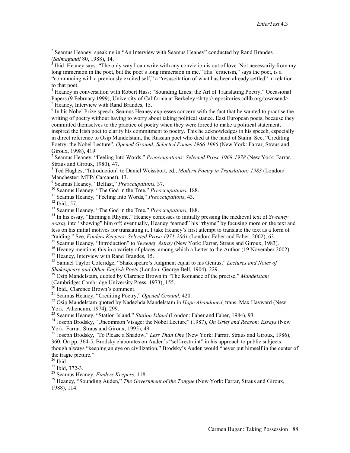<sup>2</sup> Seamus Heaney, speaking in "An Interview with Seamus Heaney" conducted by Rand Brandes (*Salmagundi* 80, 1988), 14. 3

 Ibid. Heaney says: "The only way I can write with any conviction is out of love. Not necessarily from my long immersion in the poet, but the poet's long immersion in me." His "criticism," says the poet, is a "communing with a previously excited self," a "resuscitation of what has been already settled" in relation to that poet.

<sup>4</sup> Heaney in conversation with Robert Hass: "Sounding Lines: the Art of Translating Poetry," Occasional Papers (9 February 1999), University of California at Berkeley <http://repositories.cdlib.org/townsend> <sup>5</sup> Heaney, Interview with Rand Brandes, 15.

<sup>6</sup> In his Nobel Prize speech, Seamus Heaney expresses concern with the fact that he wanted to practise the writing of poetry without having to worry about taking political stance. East European poets, because they committed themselves to the practice of poetry when they were forced to make a political statement, inspired the Irish poet to clarify his commitment to poetry. This he acknowledges in his speech, especially

in direct reference to Osip Mandelstam, the Russian poet who died at the hand of Stalin. See, "Crediting Poetry: the Nobel Lecture", *Opened Ground: Selected Poems 1966-1996* (New York: Farrar, Straus and Giroux, 1998), 419.

7 Seamus Heaney, "Feeling Into Words," *Preoccupations: Selected Prose 1968-1978* (New York: Farrar, Straus and Giroux, 1980), 47.

8 Ted Hughes, "Introduction" to Daniel Weissbort, ed., *Modern Poetry in Translation: 1983* (London/ Manchester: MTP/ Carcanet), 13.

<sup>9</sup> Seamus Heaney, "Belfast," *Preoccupations*, 37.<br><sup>10</sup> Seamus Heaney, "The God in the Tree," *Preoccupations*, 188.<br><sup>11</sup> Seamus Heaney, "Feeling Into Words," *Preoccupations*, 43.<br><sup>12</sup> Ibid., 57.

<sup>13</sup> Seamus Heaney, "The God in the Tree," *Preoccupations*, 188.<br><sup>14</sup> In his essay, "Earning a Rhyme," Heaney confesses to initially pressing the medieval text of *Sweeney Astray* into "showing" him off; eventually, Heaney "earned" his "rhyme" by focusing more on the text and less on his initial motives for translating it. I take Heaney's first attempt to translate the text as a form of

"raiding." See, *Finders Keepers: Selected Prose 1971-2001* (London: Faber and Faber, 2002), 63.<br><sup>15</sup> Seamus Heaney, "Introduction" to *Sweeney Astray* (New York: Farrar, Straus and Giroux, 1983).<br><sup>16</sup> Heaney mentions this

<sup>18</sup> Samuel Taylor Coleridge, "Shakespeare's Judgment equal to his Genius," *Lectures and Notes of Shakespeare and Other English Poets* (London: George Bell, 1904), 229.

<sup>19</sup> Osip Mandelstam, quoted by Clarence Brown in "The Romance of the precise," *Mandelstam* (Cambridge: Cambridge University Press, 1973), 155.

<sup>20</sup> Ibid., Clarence Brown's comment.

<sup>21</sup> Seamus Heaney, "Crediting Poetry," *Opened Ground*, 420.<br><sup>22</sup> Osip Mandelstam quoted by Nadezhda Mandelstam in *Hope Abandoned*, trans. Max Hayward (New York: Atheneum, 1974), 299.<br><sup>23</sup> Seamus Heaney, "Station Island," *Station Island* (London: Faber and Faber, 1984), 93.

<sup>24</sup> Joseph Brodsky, "Uncommon Visage: the Nobel Lecture" (1987), *On Grief and Reason: Essays* (New York: Farrar, Straus and Giroux, 1995), 49.

25 Joseph Brodsky, "To Please a Shadow," *Less Than One* (New York: Farrar, Straus and Giroux, 1986), 360. On pp. 364-5, Brodsky elaborates on Auden's "self-restraint" in his approach to public subjects: though always "keeping an eye on civilization," Brodsky's Auden would "never put himself in the center of the tragic picture."<br><sup>26</sup> Ibid.

<sup>26</sup> Ibid*.* 27 Ibid, 372-3. 28 Seamus Heaney, *Finders Keepers*, 118. 29 Heaney, "Sounding Auden," *The Government of the Tongue* (New York: Farrar, Straus and Giroux, 1988), 114.